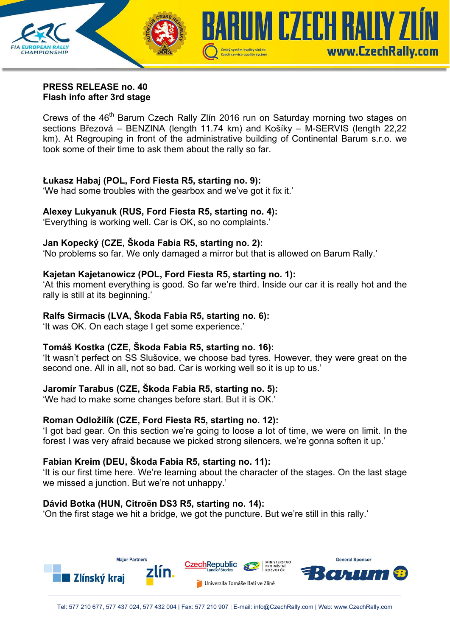

#### **PRESS RELEASE no. 40 Flash info after 3rd stage**

Crews of the 46<sup>th</sup> Barum Czech Rally Zlín 2016 run on Saturday morning two stages on sections Březová – BENZINA (length 11.74 km) and Košíky – M-SERVIS (length 22,22 km). At Regrouping in front of the administrative building of Continental Barum s.r.o. we took some of their time to ask them about the rally so far.

# **Łukasz Habaj (POL, Ford Fiesta R5, starting no. 9):**

'We had some troubles with the gearbox and we've got it fix it.'

# **Alexey Lukyanuk (RUS, Ford Fiesta R5, starting no. 4):**

'Everything is working well. Car is OK, so no complaints.'

### **Jan Kopecký (CZE, Škoda Fabia R5, starting no. 2):**

'No problems so far. We only damaged a mirror but that is allowed on Barum Rally.'

### **Kajetan Kajetanowicz (POL, Ford Fiesta R5, starting no. 1):**

'At this moment everything is good. So far we're third. Inside our car it is really hot and the rally is still at its beginning.'

### **Ralfs Sirmacis (LVA, Škoda Fabia R5, starting no. 6):**

'It was OK. On each stage I get some experience.'

# **Tomáš Kostka (CZE, Škoda Fabia R5, starting no. 16):**

'It wasn't perfect on SS Slušovice, we choose bad tyres. However, they were great on the second one. All in all, not so bad. Car is working well so it is up to us.'

# **Jaromír Tarabus (CZE, Škoda Fabia R5, starting no. 5):**

'We had to make some changes before start. But it is OK.'

# **Roman Odložilík (CZE, Ford Fiesta R5, starting no. 12):**

'I got bad gear. On this section we're going to loose a lot of time, we were on limit. In the forest I was very afraid because we picked strong silencers, we're gonna soften it up.'

#### **Fabian Kreim (DEU, Škoda Fabia R5, starting no. 11):**

'It is our first time here. We're learning about the character of the stages. On the last stage we missed a junction. But we're not unhappy.'

#### **Dávid Botka (HUN, Citroën DS3 R5, starting no. 14):**

'On the first stage we hit a bridge, we got the puncture. But we're still in this rally.'